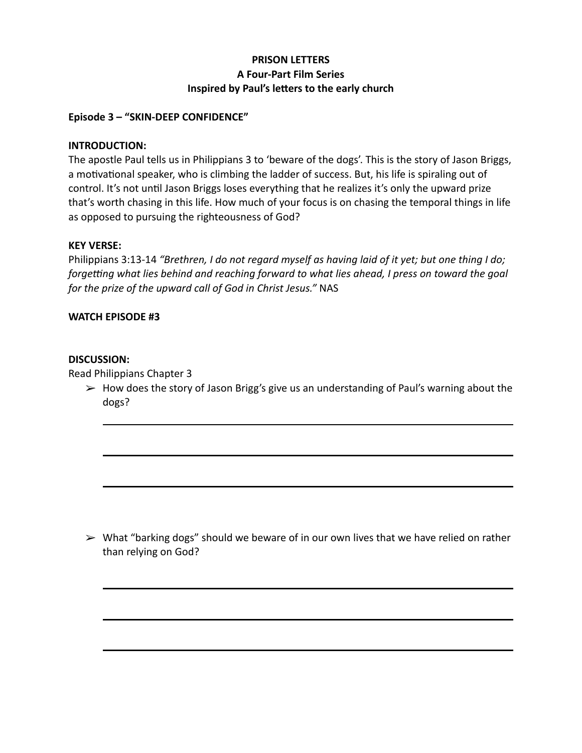# **PRISON LETTERS A Four-Part Film Series Inspired by Paul's letters to the early church**

## **Episode 3 – "SKIN-DEEP CONFIDENCE"**

## **INTRODUCTION:**

The apostle Paul tells us in Philippians 3 to 'beware of the dogs'. This is the story of Jason Briggs, a motivational speaker, who is climbing the ladder of success. But, his life is spiraling out of control. It's not until Jason Briggs loses everything that he realizes it's only the upward prize that's worth chasing in this life. How much of your focus is on chasing the temporal things in life as opposed to pursuing the righteousness of God?

#### **KEY VERSE:**

Philippians 3:13-14 *"Brethren, I do not regard myself as having laid of it yet; but one thing I do; forgetting what lies behind and reaching forward to what lies ahead, I press on toward the goal for the prize of the upward call of God in Christ Jesus."* NAS

## **WATCH EPISODE #3**

#### **DISCUSSION:**

Read Philippians Chapter 3

 $\triangleright$  How does the story of Jason Brigg's give us an understanding of Paul's warning about the dogs?

 $\triangleright$  What "barking dogs" should we beware of in our own lives that we have relied on rather than relying on God?